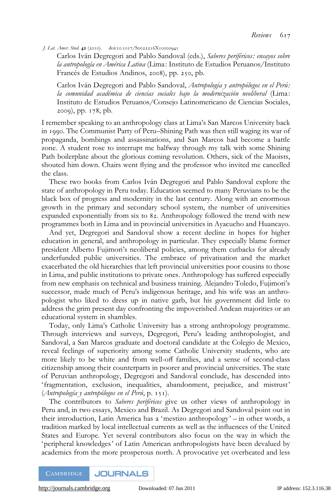J. Lat. Amer. Stud. 42 (2010). doi:10.1017/S0022216X10000945

Carlos Iván Degregori and Pablo Sandoval (eds.), Saberes periféricos: ensayos sobre la antropología en América Latina (Lima: Instituto de Estudios Peruanos/Instituto Francés de Estudios Andinos, 2008), pp. 250, pb.

Carlos Iván Degregori and Pablo Sandoval, Antropología y antropólogos en el Perú: la comunidad académica de ciencias sociales bajo la modernización neoliberal (Lima: Instituto de Estudios Peruanos/Consejo Latinomericano de Ciencias Sociales, 2009), pp. 178, pb.

I remember speaking to an anthropology class at Lima's San Marcos University back in 1990. The Communist Party of Peru–Shining Path was then still waging its war of propaganda, bombings and assassinations, and San Marcos had become a battle zone. A student rose to interrupt me halfway through my talk with some Shining Path boilerplate about the glorious coming revolution. Others, sick of the Maoists, shouted him down. Chairs went flying and the professor who invited me cancelled the class.

These two books from Carlos Iván Degregori and Pablo Sandoval explore the state of anthropology in Peru today. Education seemed to many Peruvians to be the black box of progress and modernity in the last century. Along with an enormous growth in the primary and secondary school system, the number of universities expanded exponentially from six to 82. Anthropology followed the trend with new programmes both in Lima and in provincial universities in Ayacucho and Huancayo.

And yet, Degregori and Sandoval show a recent decline in hopes for higher education in general, and anthropology in particular. They especially blame former president Alberto Fujimori's neoliberal policies, among them cutbacks for already underfunded public universities. The embrace of privatisation and the market exacerbated the old hierarchies that left provincial universities poor cousins to those in Lima, and public institutions to private ones. Anthropology has suffered especially from new emphasis on technical and business training. Alejandro Toledo, Fujimori's successor, made much of Peru's indigenous heritage, and his wife was an anthropologist who liked to dress up in native garb, but his government did little to address the grim present day confronting the impoverished Andean majorities or an educational system in shambles.

Today, only Lima's Catholic University has a strong anthropology programme. Through interviews and surveys, Degregori, Peru's leading anthropologist, and Sandoval, a San Marcos graduate and doctoral candidate at the Colegio de Mexico, reveal feelings of superiority among some Catholic University students, who are more likely to be white and from well-off families, and a sense of second-class citizenship among their counterparts in poorer and provincial universities. The state of Peruvian anthropology, Degregori and Sandoval conclude, has descended into ' fragmentation, exclusion, inequalities, abandonment, prejudice, and mistrust'  $(Antrobologia \gamma antrobólogos en el Perú, p. 151).$ 

The contributors to *Saberes periféricos* give us other views of anthropology in Peru and, in two essays, Mexico and Brazil. As Degregori and Sandoval point out in their introduction, Latin America has a 'mestizo anthropology' – in other words, a tradition marked by local intellectual currents as well as the influences of the United States and Europe. Yet several contributors also focus on the way in which the 'peripheral knowledges' of Latin American anthropologists have been devalued by academics from the more prosperous north. A provocative yet overheated and less

**CAMBRIDGE JOURNALS**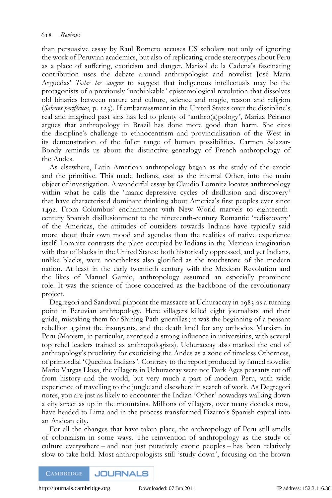than persuasive essay by Raul Romero accuses US scholars not only of ignoring the work of Peruvian academics, but also of replicating crude stereotypes about Peru as a place of suffering, exoticism and danger. Marisol de la Cadena's fascinating contribution uses the debate around anthropologist and novelist Jose´ Marı´a Arguedas' Todas las sangres to suggest that indigenous intellectuals may be the protagonists of a previously 'unthinkable' epistemological revolution that dissolves old binaries between nature and culture, science and magic, reason and religion (Saberes perifericos, p. 123). If embarrassment in the United States over the discipline's real and imagined past sins has led to plenty of 'anthro(a)pology', Mariza Peirano argues that anthropology in Brazil has done more good than harm. She cites the discipline's challenge to ethnocentrism and provincialisation of the West in its demonstration of the fuller range of human possibilities. Carmen Salazar-Bondy reminds us about the distinctive genealogy of French anthropology of the Andes.

As elsewhere, Latin American anthropology began as the study of the exotic and the primitive. This made Indians, cast as the internal Other, into the main object of investigation. A wonderful essay by Claudio Lomnitz locates anthropology within what he calls the 'manic-depressive cycles of disillusion and discovery' that have characterised dominant thinking about America's first peoples ever since 1492. From Columbus' enchantment with New World marvels to eighteenthcentury Spanish disillusionment to the nineteenth-century Romantic ' rediscovery' of the Americas, the attitudes of outsiders towards Indians have typically said more about their own mood and agendas than the realities of native experience itself. Lomnitz contrasts the place occupied by Indians in the Mexican imagination with that of blacks in the United States: both historically oppressed, and yet Indians, unlike blacks, were nonetheless also glorified as the touchstone of the modern nation. At least in the early twentieth century with the Mexican Revolution and the likes of Manuel Gamio, anthropology assumed an especially prominent role. It was the science of those conceived as the backbone of the revolutionary project.

Degregori and Sandoval pinpoint the massacre at Uchuraccay in 1983 as a turning point in Peruvian anthropology. Here villagers killed eight journalists and their guide, mistaking them for Shining Path guerrillas; it was the beginning of a peasant rebellion against the insurgents, and the death knell for any orthodox Marxism in Peru (Maoism, in particular, exercised a strong influence in universities, with several top rebel leaders trained as anthropologists). Uchuraccay also marked the end of anthropology's proclivity for exoticising the Andes as a zone of timeless Otherness, of primordial 'Quechua Indians'. Contrary to the report produced by famed novelist Mario Vargas Llosa, the villagers in Uchuraccay were not Dark Ages peasants cut off from history and the world, but very much a part of modern Peru, with wide experience of travelling to the jungle and elsewhere in search of work. As Degregori notes, you are just as likely to encounter the Indian 'Other' nowadays walking down a city street as up in the mountains. Millions of villagers, over many decades now, have headed to Lima and in the process transformed Pizarro's Spanish capital into an Andean city.

For all the changes that have taken place, the anthropology of Peru still smells of colonialism in some ways. The reinvention of anthropology as the study of culture everywhere – and not just putatively exotic peoples – has been relatively slow to take hold. Most anthropologists still ' study down', focusing on the brown

**CAMBRIDGE JOURNALS**